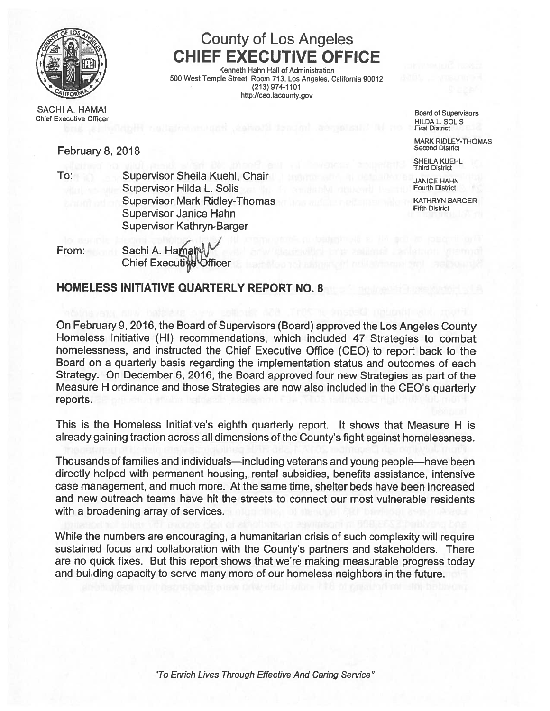

# County of Los Angeles CHIEF EXECUTIVE OFFICE

I Kenneth Hahn Hall of Administration 500 West Temple Street, Room 713, Los Angeles, California 90012 (213) 974-1101 http://ceo.lacounty.gov

SACHI A. HAMAI Board of Supervisors Chief Executive Officer HILDA L. SOLIS<br>Chief Executive Officer HILDA L. SOLIS

First District

MARK RIDLEY-THOMAS

SHEILA KUEHL Third District

February 8, 2018 Second District

- To: Supervisor Sheila Kuehl, Chair<br>Supervisor Hilda I Solis Supervisor Hilda I Solis Fourth District Supervisor Hilda L. Solis Supervisor Mark Ridley-Thomas KATHRYN BARGER KATHRYN BARGER Fifth District Supervisor Janice Hahn Supervisor Kathryn.Barger
- From: Sachi A. Hama **Chief Executive Officer**

# HOMELESS INITIATIVE QUARTERLY REPORT NO. 8

On February 9, 2016, the Board of Supervisors (Board) approved the Los Angeles County Homeless Initiative (HI) recommendations, which included 47 Strategies to combat homelessness, and instructed the Chief Executive Office (CEO) to repor<sup>t</sup> back to the Board on <sup>a</sup> quarterly basis regarding the implementation status and outcomes of each Strategy. On December 6, 2016, the Board approve<sup>d</sup> four new Strategies as par<sup>t</sup> of the Measure <sup>H</sup> ordinance and those Strategies are now also included in the CEO's quarterly reports.

This is the Homeless Initiative's eighth quarterly report. It shows that Measure H is already gaining traction across all dimensions of the County's fight against homelessness.

Thousands of families and individuals—including veterans and young people—have been directly helped with permanen<sup>t</sup> housing, rental subsidies, benefits assistance, intensive case management, and much more. At the same time, shelter beds have been increased and new outreach teams have hit the streets to connect our most vulnerable residents with <sup>a</sup> broadening array of services.

While the numbers are encouraging, <sup>a</sup> humanitarian crisis of such complexity will require sustained focus and collaboration with the County's partners and stakeholders. There are no quick fixes. But this repor<sup>t</sup> shows that we're making measurable progress today and building capacity to serve many more of our homeless neighbors in the future.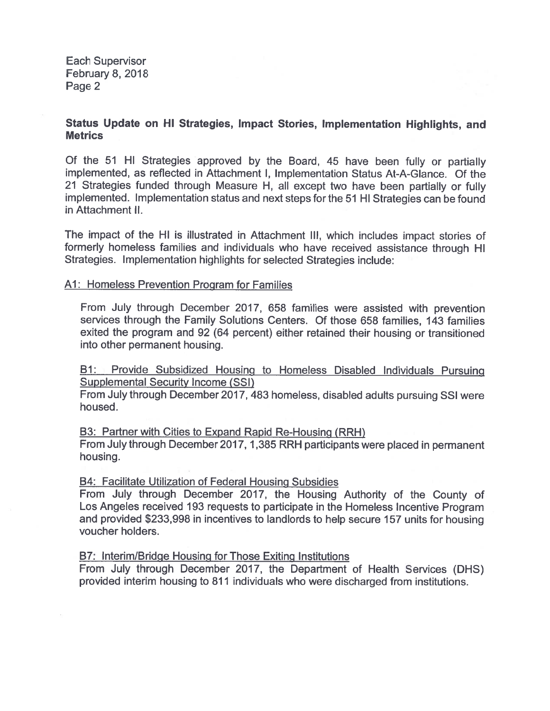### Status Update on HI Strategies, Impact Stories, Implementation Highlights, and **Metrics**

Of the 51 HI Strategies approve<sup>d</sup> by the Board, <sup>45</sup> have been fully or partially implemented, as reflected in Attachment I, Implementation Status At-A-Glance. Of the 21 Strategies funded through Measure H, all excep<sup>t</sup> two have been partially or fully implemented. Implementation status and next steps for the <sup>51</sup> HI Strategies can be found in Attachment II.

The impact of the HI is illustrated in Attachment III, which includes impact stories of formerly homeless families and individuals who have received assistance through HI Strategies. Implementation highlights for selected Strategies include:

# Al: Homeless Prevention Program for Families

From July through December 2017, <sup>658</sup> families were assisted with prevention services through the Family Solutions Centers. Of those 658 families, 143 families exited the program and 92 (64 percent) either retained their housing or transitioned into other permanen<sup>t</sup> housing.

BI: Provide Subsidized Housing to Homeless Disabled Individuals Pursuing Supplemental Security Income (SSI)

From July through December 2017, <sup>483</sup> homeless, disabled adults pursuing SSI were housed.

B3: Partner with Cities to Expand Rapid Re-Housing (RRH)

From July through December 2017, 1,385 RRH participants were <sup>p</sup>laced in permanen<sup>t</sup> housing.

# B4: Facilitate Utilization of Federal Housing Subsidies

From July through December 2017, the Housing Authority of the County of Los Angeles received 193 requests to participate in the Homeless Incentive Program and provided \$233,998 in incentives to landlords to help secure 157 units for housing voucher holders.

# B7: Interim/Bridge Housing for Those Exiting Institutions

From July through December 2017, the Department of Health Services (DHS) provided interim housing to 811 individuals who were discharged from institutions.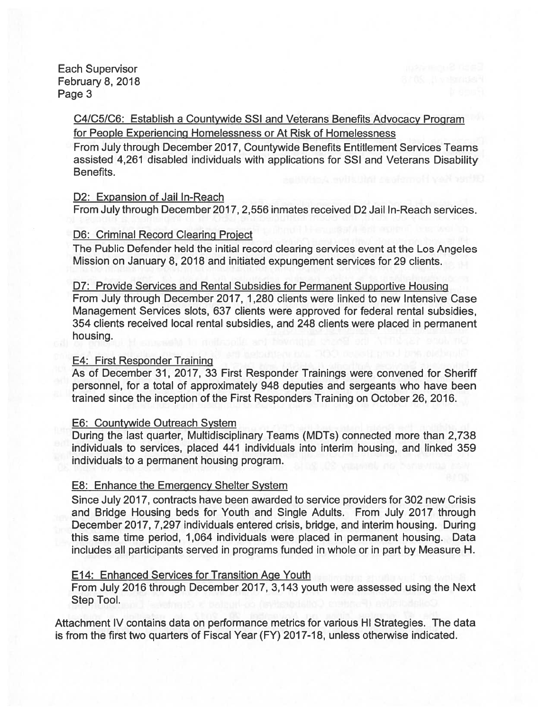> C4/C51C6: Establish <sup>a</sup> Countywide SSI and Veterans Benefits Advocacy Program for People Experiencing Homelessness or At Risk of Homelessness

From July through December 2017, Countywide Benefits Entitlement Services Teams assisted 4,261 disabled individuals with applications for SSI and Veterans Disability Benefits.

#### D2: Expansion of Jail In-Reach

From July through December2017, 2,556 inmates received D2 Jail In-Reach services.

### D6: Criminal Record Clearing Proiect

The Public Defender held the initial record clearing services event at the Los Angeles Mission on January 8,2018 and initiated expungemen<sup>t</sup> services for 29 clients.

D7: Provide Services and Rental Subsidies for Permanent Supportive Housing From July through December 2017, 1,280 clients were linked to new Intensive Case Management Services slots, 637 clients were approved for federal rental subsidies, 354 clients received local rental subsidies, and 248 clients were placed in permanen<sup>t</sup> housing.

#### E4: First Responder Training

As of December 31, 2017, 33 First Responder Trainings were convened for Sheriff personnel, for <sup>a</sup> total of approximately 948 deputies and sergeants who have been trained since the inception of the First Responders Training on October 26, 2016.

#### E6: Countywide Outreach System

During the last quarter, Multidisciplinary Teams (MDTs) connected more than 2,738 individuals to services, placed 441 individuals into interim housing, and linked 359 individuals to <sup>a</sup> permanen<sup>t</sup> housing program.

### E8: Enhance the Emergency Shelter System

Since July2017, contracts have been awarded to service providers for 302 new Crisis and Bridge Housing beds for Youth and Single Adults. From July 2017 through December 2017, 7,297 individuals entered crisis, bridge, and interim housing. During this same time period, 1,064 individuals were placed in permanen<sup>t</sup> housing. Data includes all participants served in programs funded in whole or in par<sup>t</sup> by Measure H.

### El 4: Enhanced Services for Transition Age Youth

From July 2016 through December 2017, 3,143 youth were assessed using the Next Step Tool.

Attachment IV contains data on performance metrics for various HI Strategies. The data is from the first two quarters of Fiscal Year (FY) 2017-18, unless otherwise indicated.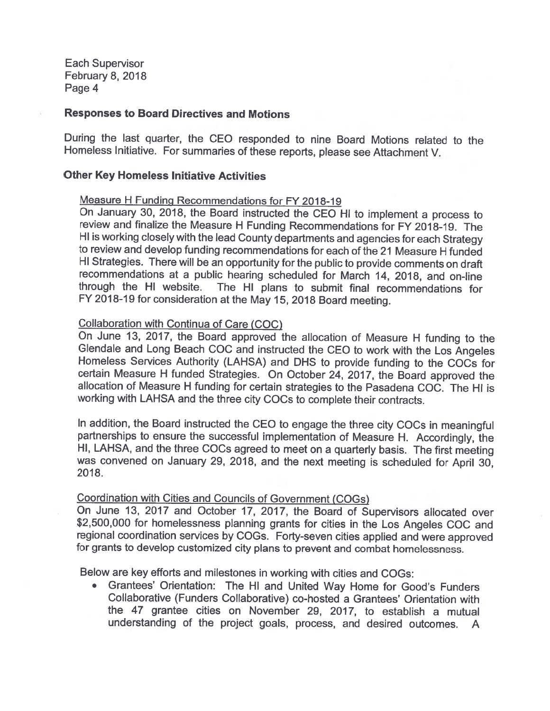#### Responses to Board Directives and Motions

During the last quarter, the CEO responded to nine Board Motions related to the Homeless Initiative. For summaries of these reports, please see Attachment V.

#### Other Key Homeless Initiative Activities

#### Measure H Funding Recommendations for FY 2018-19

On January 30, 2018, the Board instructed the CEO HI to implement a process to<br>review and finalize the Measure H Funding Recommendations for FY 2018-19, The and finalize the Measure H Funding Recommendations for FY 2018-19. The HI is working closely with the lead County departments and agencies for each Strategy to review and develop funding recommendations for each of the 21 Measure H funded HI Strategies. There will be an opportunity for the public to provide comments on draft recommendations at a public hearing scheduled for March 14, 2018, and on-line through the HI website. The HI <sup>p</sup>lans to submit final recommendations for FY 2018-19 for consideration at the May 15, 2018 Board meeting.

### Collaboration with Continua of Care (COC)

On June 13, 2017, the Board approved the allocation of Measure <sup>H</sup> funding to the Glendale and Long Beach CCC and instructed the CEO to work with the Los Angeles Homeless Services Authority (LAHSA) and DHS to provide funding to the COCs for certain Measure H funded Strategies. On October 24, 2017, the Board approved the allocation of Measure H funding for certain strategies to the Pasadena COC. The HI is working with LAHSA and the three city COCs to complete their contracts.

In addition, the Board instructed the CEO to engage the three city COCs in meaningful partnerships to ensure the successful implementation of Measure H. Accordingly, the HI, LAHSA, and the three COCs agreed to meet on <sup>a</sup> quarterly basis. The first meeting was convened on January 29, 2018, and the next meeting is scheduled for April 30, 2018.

#### Coordination with Cities and Councils of Government (COGs)

On June 13, <sup>2017</sup> and October 17, 2017, the Board of Supervisors allocated over \$2,500,000 for homelessness planning grants for cities in the Los Angeles COC and regional coordination services by COGs. Forty-seven cities applied and were approved for grants to develop customized city plans to prevent and combat homelessness

Below are key efforts and milestones in working with cities and COGs:

• Grantees' Orientation: The HI and United Way Home for Good's Funders Collaborative (Funders Collaborative) co-hosted <sup>a</sup> Grantees' Orientation with the 47 grantee cities on November 29, 2017, to establish <sup>a</sup> mutual understanding of the project goals, process, and desired outcomes. <sup>A</sup>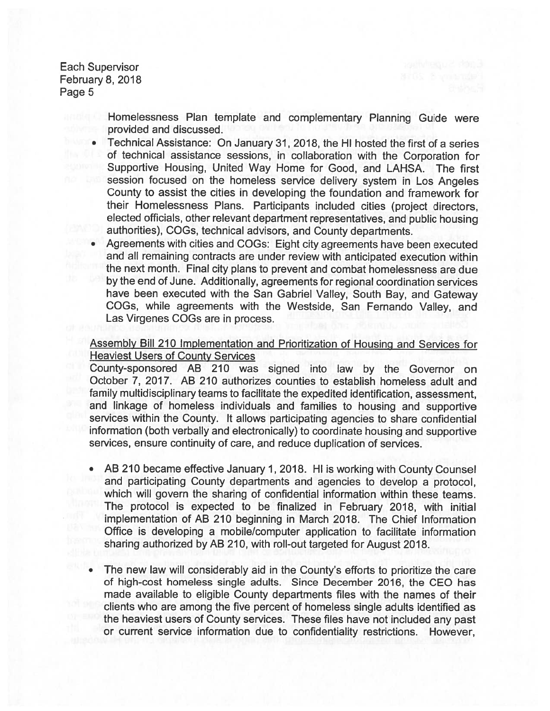> Homelessness Plan template and complementary Planning Guide were provided and discussed.

- Technical Assistance: On January 31, 2018, the HI hosted the first of <sup>a</sup> series of technical assistance sessions, in collaboration with the Corporation for Supportive Housing, United Way Home for Good, and LAHSA. The first session focused on the homeless service delivery system in Los Angeles County to assist the cities in developing the foundation and framework for their Homelessness Plans. Participants included cities (project directors, elected officials, other relevant department representatives, and public housing authorities), COGs, technical advisors, and County departments.
- Agreements with cities and COGs: Eight city agreements have been executed and all remaining contracts are under review with anticipated execution within the next month. Final city plans to preven<sup>t</sup> and combat homelessness are due by the end of June. Additionally, agreements for regional coordination services have been executed with the San Gabriel Valley, South Bay, and Gateway COGs, while agreements with the Westside, San Fernando Valley, and Las Virgenes COGs are in process.

# Assembly Bill 210 Implementation and Prioritization of Housing and Services for Heaviest Users of County Services

County-sponsored AB 210 was signed into law by the Governor on October 7, 2017. AB 210 authorizes counties to establish homeless adult and family multidisciplinary teams to facilitate the expedited identification, assessment, and linkage of homeless individuals and families to housing and supportive services within the County. It allows participating agencies to share confidential information (both verbally and electronically) to coordinate housing and supportive services, ensure continuity of care, and reduce duplication of services.

- AB <sup>210</sup> became effective January 1,2018. HI is working with County Counsel and participating County departments and agencies to develop <sup>a</sup> protocol, which will govern the sharing of confidential information within these teams. The protocol is expected to be finalized in February 2018, with initial implementation of AB 210 beginning in March 2018. The Chief Information Office is developing <sup>a</sup> mobile/computer application to facilitate information sharing authorized by AB 210, with roll-out targeted for August 2018.
- • The new law will considerably aid in the County's efforts to prioritize the care of high-cost homeless single adults. Since December 2016, the CEO has made available to eligible County departments files with the names of their clients who are among the five percen<sup>t</sup> of homeless single adults identified as the heaviest users of County services. These files have not included any pas<sup>t</sup> or current service information due to confidentiality restrictions. However,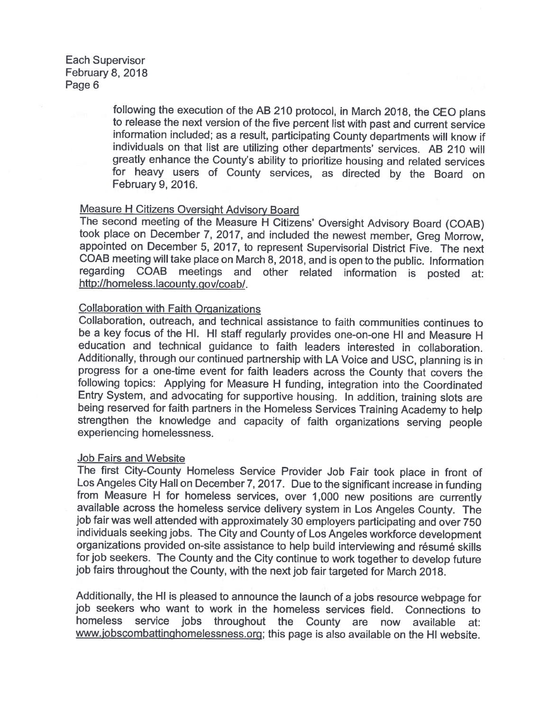following the execution of the AB <sup>210</sup> protocol, in March 2018, the CEO <sup>p</sup>lans to release the next version of the five percent list with past and current service information included; as a result, participating County departments will know if individuals on that list are utilizing other departments' services. AB 210 will greatly enhance the County's ability to prioritize housing and related services for heavy users of County services, as directed by the Board on February 9, 2016.

# Measure H Citizens Oversight Advisory Board

The second meeting of the Measure HThe second meeting of the Measure H Citizens' Oversight Advisory Board (COAB) took place on December 7, 2017, and included the newest member, Greg Morrow, appointed on December 5, 2017, to represent Supervisorial District Five. The next COAB meeting will take <sup>p</sup>lace on March 8, 2018, and is open to the public. Information regarding COAB meetings and other related information is posted at: http://homeless.lacounty.gov/coab/.

### Collaboration with Faith Organizations

Collaboration, outreach, and technical assistance to faith communities continues to be a key focus of the HI. HI staff regularly provides one-on-one HI and Measure H education and technical guidance to faith leaders interested in collaboration. Additionally, through our continued partnership with LA Voice and USC, <sup>p</sup>lanning is in progress for a one-time event for faith leaders across the County that covers the following topics: Applying for Measure H funding, integration into the Coordinated Entry System, and advocating for supportive housing. In addition, training slots are being reserved for faith partners in the Homeless Services Training Academy to help strengthen the knowledge and capacity of faith organizations serving people experiencing homelessness.

### Job Fairs and Website

The first City-County Homeless Service Provider Job Fair took <sup>p</sup>lace in front of Los Angeles City Hall on December 7, 2017. Due to the significant increase in funding<br>from Measure H for homeless services over 1 000 new positions are currently m Measure H for homeless from Measure H for homeless services, over 1,000 new positions are currently<br>available across the homeless service delivery system in Los Angeles County. The job fair was well attended with approximately <sup>30</sup> employers participating and over <sup>750</sup> individuals seeking jobs. The City and County of Los Angeles workforce development organizations provided on-site assistance to help build interviewing and résumé skills for job seekers. The County and the City continue to work together to develop future job fairs throughout the County, with the next job fair targeted for March 2018.

Additionally, the HI is pleased to announce the launch of a jobs resource webpage for job seekers who want to work in the homeless services field. Connections to homeless service jobs throughout the County are now available at: www.iobscombattinghomelessness.org; this page is also available on the HI website.